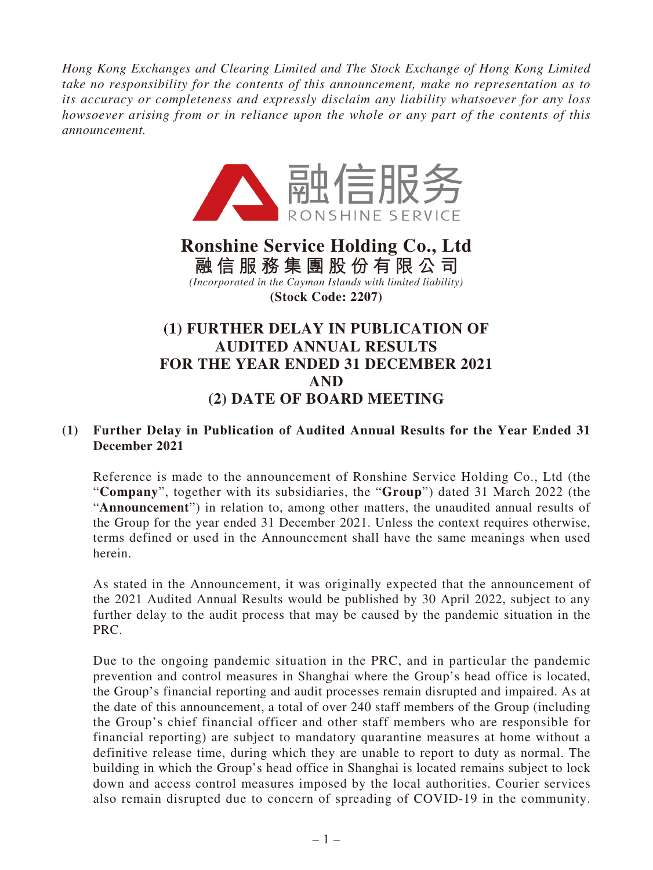*Hong Kong Exchanges and Clearing Limited and The Stock Exchange of Hong Kong Limited take no responsibility for the contents of this announcement, make no representation as to its accuracy or completeness and expressly disclaim any liability whatsoever for any loss howsoever arising from or in reliance upon the whole or any part of the contents of this announcement.*



# **Ronshine Service Holding Co., Ltd 融信服務集團股份有限公司** *(Incorporated in the Cayman Islands with limited liability)* **(Stock Code: 2207)**

# **(1) FURTHER DELAY IN PUBLICATION OF AUDITED ANNUAL RESULTS FOR THE YEAR ENDED 31 DECEMBER 2021 AND (2) DATE OF BOARD MEETING**

## **(1) Further Delay in Publication of Audited Annual Results for the Year Ended 31 December 2021**

Reference is made to the announcement of Ronshine Service Holding Co., Ltd (the "**Company**", together with its subsidiaries, the "**Group**") dated 31 March 2022 (the "**Announcement**") in relation to, among other matters, the unaudited annual results of the Group for the year ended 31 December 2021. Unless the context requires otherwise, terms defined or used in the Announcement shall have the same meanings when used herein.

As stated in the Announcement, it was originally expected that the announcement of the 2021 Audited Annual Results would be published by 30 April 2022, subject to any further delay to the audit process that may be caused by the pandemic situation in the PRC.

Due to the ongoing pandemic situation in the PRC, and in particular the pandemic prevention and control measures in Shanghai where the Group's head office is located, the Group's financial reporting and audit processes remain disrupted and impaired. As at the date of this announcement, a total of over 240 staff members of the Group (including the Group's chief financial officer and other staff members who are responsible for financial reporting) are subject to mandatory quarantine measures at home without a definitive release time, during which they are unable to report to duty as normal. The building in which the Group's head office in Shanghai is located remains subject to lock down and access control measures imposed by the local authorities. Courier services also remain disrupted due to concern of spreading of COVID-19 in the community.